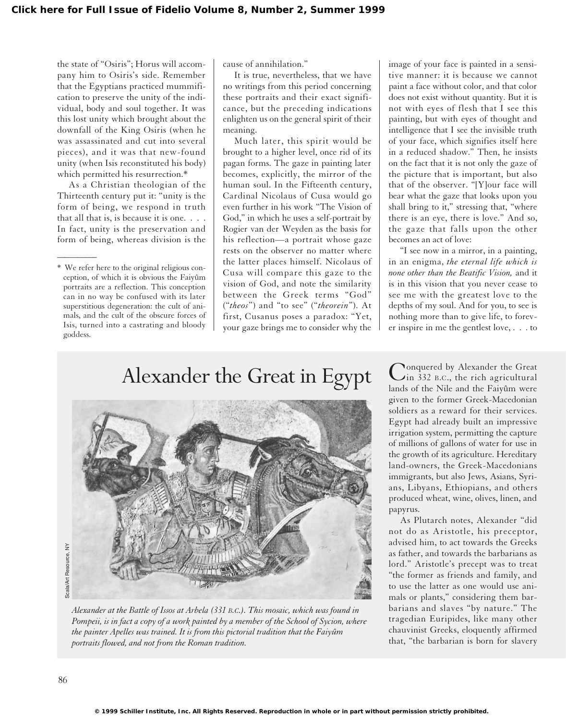the state of "Osiris"; Horus will accompany him to Osiris's side. Remember that the Egyptians practiced mummification to preserve the unity of the individual, body and soul together. It was this lost unity which brought about the downfall of the King Osiris (when he was assassinated and cut into several pieces), and it was that new-found unity (when Isis reconstituted his body) which permitted his resurrection.\*

As a Christian theologian of the Thirteenth century put it: "unity is the form of being, we respond in truth that all that is, is because it is one. . . . In fact, unity is the preservation and form of being, whereas division is the

 $\overline{\phantom{a}}$ 

cause of annihilation."

It is true, nevertheless, that we have no writings from this period concerning these portraits and their exact significance, but the preceding indications enlighten us on the general spirit of their meaning.

Much later, this spirit would be brought to a higher level, once rid of its pagan forms. The gaze in painting later becomes, explicitly, the mirror of the human soul. In the Fifteenth century, Cardinal Nicolaus of Cusa would go even further in his work "The Vision of God," in which he uses a self-portrait by Rogier van der Weyden as the basis for his reflection—a portrait whose gaze rests on the observer no matter where the latter places himself. Nicolaus of Cusa will compare this gaze to the vision of God, and note the similarity between the Greek terms "God" ("*theos*") and "to see" ("*theorein*"). At first, Cusanus poses a paradox: "Yet, your gaze brings me to consider why the image of your face is painted in a sensitive manner: it is because we cannot paint a face without color, and that color does not exist without quantity. But it is not with eyes of flesh that I see this painting, but with eyes of thought and intelligence that I see the invisible truth of your face, which signifies itself here in a reduced shadow." Then, he insists on the fact that it is not only the gaze of the picture that is important, but also that of the observer. "[Y]our face will bear what the gaze that looks upon you shall bring to it," stressing that, "where there is an eye, there is love." And so, the gaze that falls upon the other becomes an act of love:

"I see now in a mirror, in a painting, in an enigma, *the eternal life which is none other than the Beatific Vision,* and it is in this vision that you never cease to see me with the greatest love to the depths of my soul. And for you, to see is nothing more than to give life, to forever inspire in me the gentlest love, . . . to

## Alexander the Great in Egypt



*Alexander at the Battle of Issos at Arbela (331 B.C.). This mosaic, which was found in Pompeii, is in fact a copy of a work painted by a member of the School of Sycion, where the painter Apelles was trained. It is from this pictorial tradition that the Faiyûm portraits flowed, and not from the Roman tradition.*

Conquered by Alexander the Great<br>in 332 B.C., the rich agricultural lands of the Nile and the Faiyûm were given to the former Greek-Macedonian soldiers as a reward for their services. Egypt had already built an impressive irrigation system, permitting the capture of millions of gallons of water for use in the growth of its agriculture. Hereditary land-owners, the Greek-Macedonians immigrants, but also Jews, Asians, Syrians, Libyans, Ethiopians, and others produced wheat, wine, olives, linen, and papyrus.

As Plutarch notes, Alexander "did not do as Aristotle, his preceptor, advised him, to act towards the Greeks as father, and towards the barbarians as lord." Aristotle's precept was to treat "the former as friends and family, and to use the latter as one would use animals or plants," considering them barbarians and slaves "by nature." The tragedian Euripides, like many other chauvinist Greeks, eloquently affirmed that, "the barbarian is born for slavery

<sup>\*</sup> We refer here to the original religious conception, of which it is obvious the Faiyûm portraits are a reflection. This conception can in no way be confused with its later superstitious degeneration: the cult of animals, and the cult of the obscure forces of Isis, turned into a castrating and bloody goddess.